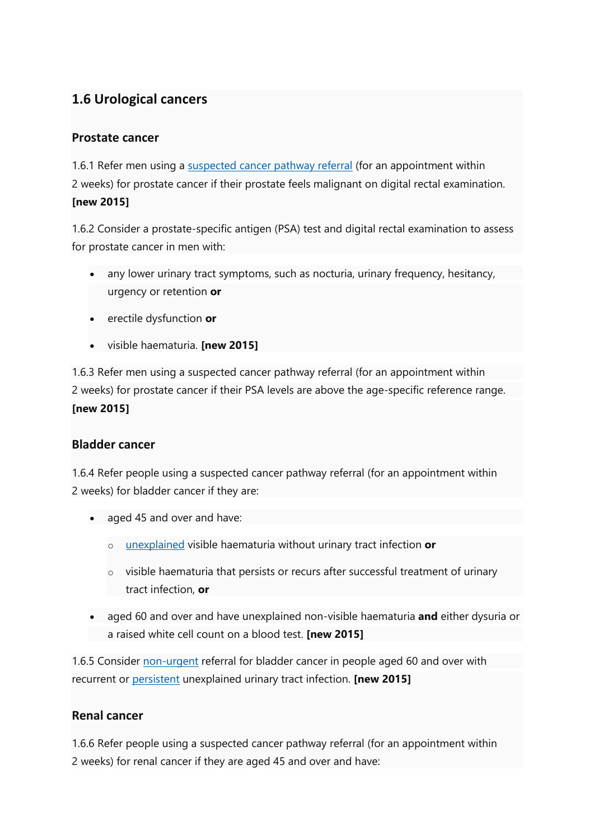# **1.6 Urological cancers**

### **Prostate cancer**

1.6.1 Refer men using a [suspected cancer pathway referral](https://www.nice.org.uk/guidance/ng12/chapter/terms-used-in-this-guideline#terms-used-in-this-guideline) (for an appointment within 2 weeks) for prostate cancer if their prostate feels malignant on digital rectal examination. **[new 2015]** 

1.6.2 Consider a prostate-specific antigen (PSA) test and digital rectal examination to assess for prostate cancer in men with:

- any lower urinary tract symptoms, such as nocturia, urinary frequency, hesitancy, urgency or retention **or**
- erectile dysfunction **or**
- visible haematuria. **[new 2015]**

1.6.3 Refer men using a suspected cancer pathway referral (for an appointment within 2 weeks) for prostate cancer if their PSA levels are above the age-specific reference range. **[new 2015]** 

### **Bladder cancer**

1.6.4 Refer people using a suspected cancer pathway referral (for an appointment within 2 weeks) for bladder cancer if they are:

- aged 45 and over and have:
	- o [unexplained](https://www.nice.org.uk/guidance/ng12/chapter/terms-used-in-this-guideline#terms-used-in-this-guideline) visible haematuria without urinary tract infection **or**
	- $\circ$  visible haematuria that persists or recurs after successful treatment of urinary tract infection, **or**
- aged 60 and over and have unexplained non-visible haematuria **and** either dysuria or a raised white cell count on a blood test. **[new 2015]**

1.6.5 Consider [non-urgent](https://www.nice.org.uk/guidance/ng12/chapter/terms-used-in-this-guideline#terms-used-in-this-guideline) referral for bladder cancer in people aged 60 and over with recurrent or [persistent](https://www.nice.org.uk/guidance/ng12/chapter/terms-used-in-this-guideline#terms-used-in-this-guideline) unexplained urinary tract infection. **[new 2015]** 

## **Renal cancer**

1.6.6 Refer people using a suspected cancer pathway referral (for an appointment within 2 weeks) for renal cancer if they are aged 45 and over and have: